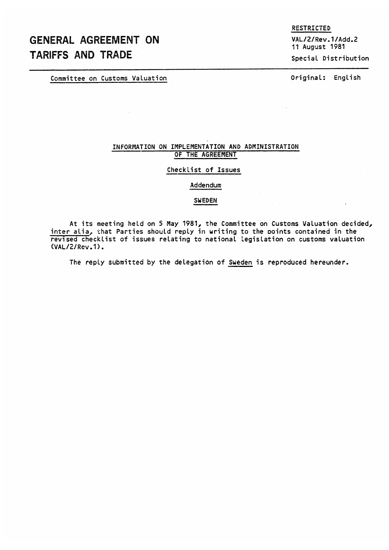# GENERAL AGREEMENT ON TARIFFS AND TRADE

Committee on Customs Valuation Committee on Customs Valuation

RESTRICTED

VAL/2/Rev.1 /Add.2 11 August 1981 Special Distribution

# INFORMATION ON IMPLEMENTATION AND ADMINISTRATION OF THE AGREEMENT

## Checklist of Issues

#### Addendum

#### SWEDEN

At its meeting held on 5 May 1981, the Committee on Customs Valuation decided, inter alia, that Parties should reply in writing to the points contained in the revised checklist of issues relating to national Legislation on customs valuation (VAL/2/Rev.1).

The reply submitted by the delegation of Sweden is reproduced hereunder.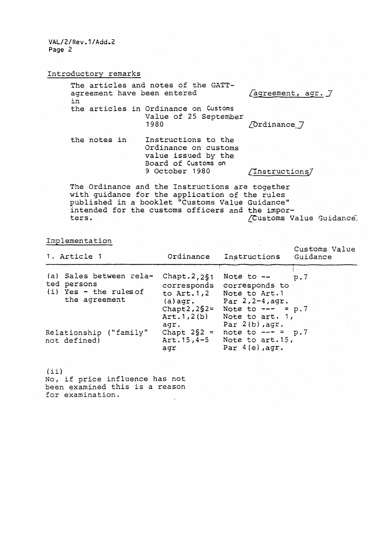VAL/2/Rev.1/Add.2 Page 2

Introductory remarks

| The articles and notes of the GATT-<br>agreement have been entered<br>in | [agreement, agr. 7                                                                        |                     |
|--------------------------------------------------------------------------|-------------------------------------------------------------------------------------------|---------------------|
|                                                                          | the articles in Ordinance on Customs<br>Value of 25 September                             |                     |
|                                                                          | 1980                                                                                      | <i>Cordinance</i> 7 |
| the notes in                                                             | Instructions to the<br>Ordinance on customs<br>value issued by the<br>Board of Customs on |                     |
|                                                                          | 9 October 1980                                                                            | /Instructions/      |

The Ordinance and the Instructions are together with guidance for the application of the rules published in a booklet "Customs Value Guidance" intended for the customs officers and the impor-<br>ters. //Customs Va /Customs Value Guidance,

 $\sim 10^{10}$ 

Implementation

| 1. Article 1                                                                        | Ordinance                                                                                                 | Instructions                                                                                                                               | Customs Value<br>Guidance |
|-------------------------------------------------------------------------------------|-----------------------------------------------------------------------------------------------------------|--------------------------------------------------------------------------------------------------------------------------------------------|---------------------------|
| (a) Sales between rela-<br>ted persons<br>$(i)$ Yes - the rules of<br>the agreement | Chapt. $2,251$<br>corresponds<br>to $Art.1,2$<br>$(a)$ agr.<br>Chapt $2,2$ § $2$ =<br>Art.1, 2(b)<br>aqr. | Note to $-\sim$ p.7<br>corresponds to<br>Note to Art.1<br>Par $2, 2-4, agr.$<br>Note to $-- = p.7$<br>Note to art. 1,<br>Par $2(b)$ , agr. |                           |
| Relationship ("family"<br>not defined)                                              | Chapt $2\S2 =$<br>$Art.15, 4-5$<br>aqr                                                                    | note to $-- = p.7$<br>Note to art.15,<br>Par $4(e)$ , agr.                                                                                 |                           |

 $\mathcal{L}_{\rm{max}}$ 

 $(i)$ No, if price influence has not been examined this is a reason for examination.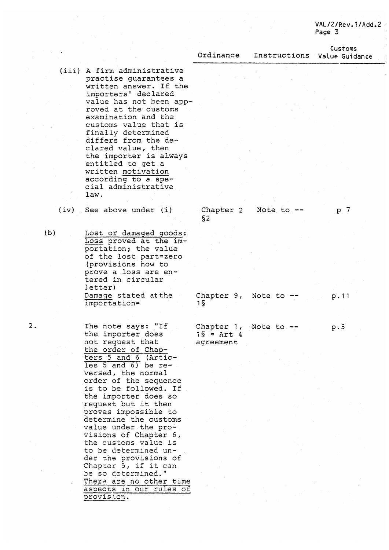### VAL/2/Rev.1/Add.2 Page 3

 $\overline{z}$  $\frac{1}{2}$ 

 $\ddot{\phantom{a}}$ 

Customs

|                                                 | Ordinance             | Instructions | Value Guidance |
|-------------------------------------------------|-----------------------|--------------|----------------|
| (iii) A firm administrative                     |                       |              |                |
|                                                 |                       |              |                |
| practise guarantees a<br>written answer. If the |                       |              |                |
|                                                 |                       |              |                |
| importers' declared<br>value has not been app-  |                       |              |                |
| roved at the customs                            |                       |              |                |
| examination and the                             |                       |              |                |
| customs value that is                           |                       |              |                |
|                                                 |                       |              |                |
| finally determined<br>differs from the de-      |                       |              |                |
| clared value, then                              |                       |              |                |
| the importer is always                          |                       |              |                |
| entitled to get a                               |                       |              |                |
| written motivation                              |                       |              |                |
| according to a spe-                             |                       |              |                |
| cial administrative                             |                       |              |                |
| law.                                            |                       |              |                |
|                                                 |                       |              |                |
| (iv) See above under (i)                        | Chapter 2             | Note to $-$  | p <sub>7</sub> |
|                                                 | S2                    |              |                |
|                                                 |                       |              |                |
| Lost or damaged goods:                          |                       |              |                |
| Loss proved at the im-                          |                       |              |                |
| portation; the value                            |                       |              |                |
| of the lost part=zero                           |                       |              |                |
| (provisions how to                              |                       |              |                |
| prove a loss are en-                            |                       |              |                |
| tered in circular                               |                       |              |                |
| letter)                                         |                       |              |                |
| Damage stated at the                            | Chapter 9,            | Note to $-$  | p.11           |
| importation=                                    | 1 S                   |              |                |
|                                                 |                       |              |                |
| The note says: "If                              | Chapter 1, Note to -- |              | p.5            |
| the importer does                               | $15 =$ Art 4          |              |                |
| not request that                                | agreement             |              |                |
| the order of Chap-                              |                       |              |                |
| ters 5 and 6 (Artic-                            |                       |              |                |
| $les$ 5 and 6) be re-                           |                       |              |                |
| versed, the normal                              |                       |              |                |
| order of the sequence                           |                       |              |                |
| is to be followed. If                           |                       |              |                |
| the importer does so                            |                       |              |                |
| request but it then                             |                       |              |                |
| proves impossible to                            |                       |              |                |
| determine the customs                           |                       |              |                |
| value under the pro-                            |                       |              |                |
| visions of Chapter 6,                           |                       |              |                |
| the customs value is                            |                       |              |                |
| to be determined un-                            |                       |              |                |
| der the provisions of                           |                       |              |                |
| Chapter 5, if it can                            |                       |              |                |
| be so determined."                              |                       |              |                |
| There are no other time                         |                       |              |                |
| aspects in our rules of                         |                       |              |                |
| provision.                                      |                       |              |                |

(b)

2.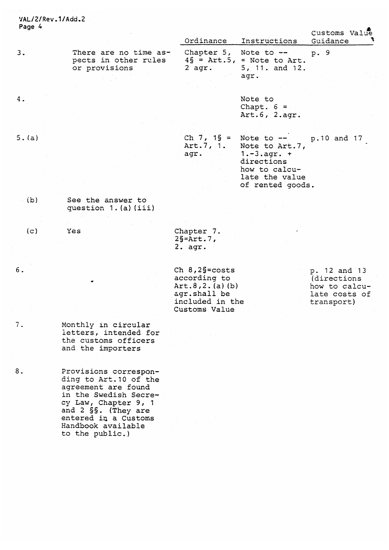| Page 4 |                                                                                                                                                                                                                 |                                                                                                            |                                                                                                                      | Customs Value                                                                |
|--------|-----------------------------------------------------------------------------------------------------------------------------------------------------------------------------------------------------------------|------------------------------------------------------------------------------------------------------------|----------------------------------------------------------------------------------------------------------------------|------------------------------------------------------------------------------|
|        |                                                                                                                                                                                                                 | Ordinance                                                                                                  | Instructions                                                                                                         | Guidance                                                                     |
| 3.     | There are no time as-<br>pects in other rules<br>or provisions                                                                                                                                                  | Chapter 5, Note to --<br>$2$ agr.                                                                          | $4\S$ = Art.5, = Note to Art.<br>5, 11. and 12.<br>agr.                                                              | p. 9                                                                         |
| 4.     |                                                                                                                                                                                                                 |                                                                                                            | Note to<br>Chapt. $6 =$<br>Art.6, 2.agr.                                                                             |                                                                              |
|        |                                                                                                                                                                                                                 |                                                                                                            |                                                                                                                      |                                                                              |
| 5. (a) |                                                                                                                                                                                                                 | $Ch 7, 1\$ =<br>Art.7, 1.<br>agr.                                                                          | Note to $--$<br>Note to Art.7,<br>$1.-3.agr. +$<br>directions<br>how to calcu-<br>late the value<br>of rented goods. | p.10 and 17                                                                  |
| (b)    | See the answer to<br>question 1. (a) (iii)                                                                                                                                                                      |                                                                                                            |                                                                                                                      |                                                                              |
|        |                                                                                                                                                                                                                 |                                                                                                            |                                                                                                                      |                                                                              |
| (c)    | Yes                                                                                                                                                                                                             | Chapter 7.<br>$2\$ = Art. 7,<br>$2.$ agr.                                                                  |                                                                                                                      |                                                                              |
|        |                                                                                                                                                                                                                 |                                                                                                            |                                                                                                                      |                                                                              |
| 6.     |                                                                                                                                                                                                                 | Ch $8,2\S$ =costs<br>according to<br>Art.8, 2. (a) (b)<br>agr.shall be<br>included in the<br>Customs Value |                                                                                                                      | p. 12 and 13<br>(directions)<br>how to calcu-<br>late costs of<br>transport) |
| 7.     | Monthly in circular<br>letters, intended for<br>the customs officers<br>and the importers                                                                                                                       |                                                                                                            |                                                                                                                      |                                                                              |
| 8.     | Provisions correspon-<br>ding to Art. 10 of the<br>agreement are found<br>in the Swedish Secre-<br>cy Law, Chapter 9, 1<br>and 2 §§. (They are<br>entered in a Customs<br>Handbook available<br>to the public.) |                                                                                                            |                                                                                                                      |                                                                              |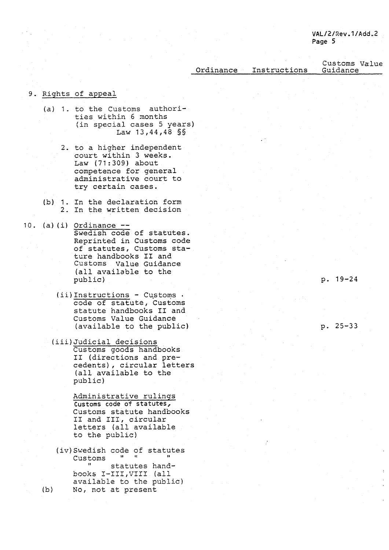Ordinance Instructions Customs Value Guidance

## 9. Rights of appeal

- (a) 1. to the Customs authorities within <sup>6</sup> months (in special cases <sup>5</sup> years) Law 13,44,48 §§
	- 2. to a higher independent court within <sup>3</sup> weeks. Law (71:309) about competence for general administrative court to try certain cases.
- (b) 1. In the declaration form 2. In the written decision
- 10. (a) (i) Ordinance  $-$ -Swedish code of statutes. Reprinted in Customs code of statutes, Customs stature handbooks Il and Customs Value Guidance (all available to the public)
	- (ii)Instructions Customs code of statute, Customs statute handbooks Il and Customs Value Guidance (available to the public) p. 25-33
	- (iii)Judicial decisions Customs goods handbooks II (directions and precedents) , circular letters (all available to the public)

Administrative rulings Customs code of statutes, Customs statute handbooks II and III, circular letters (all available to the public)

(iv) Swedish code of statutes Customs statutes handbooks I-III,VIII (all available to the public) (b) No, not at present

p. 19-24